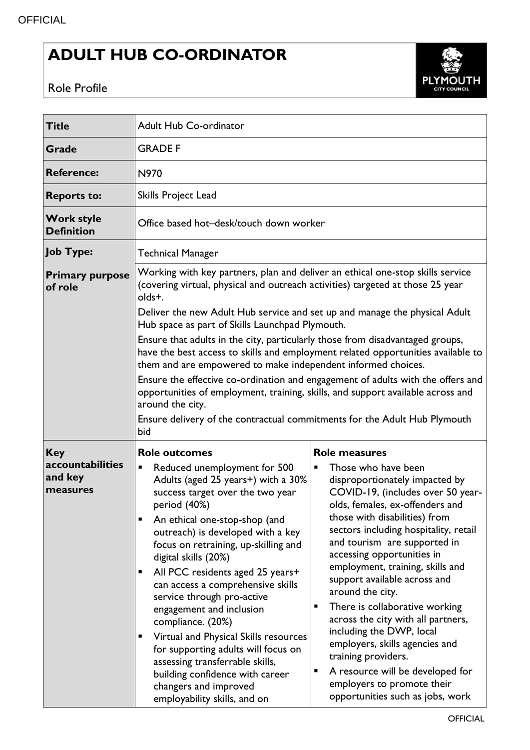## **ADULT HUB CO-ORDINATOR**



Role Profile

| <b>Title</b>                                          | <b>Adult Hub Co-ordinator</b>                                                                                                                                                                                                                                                                                                                                                                                                                                                                                                                                                                                                                                                                                                                                                                                                  |                                                                                                                                                                                                                                                                                                                                                                                                                                                                                                                                                                                                                                                                    |
|-------------------------------------------------------|--------------------------------------------------------------------------------------------------------------------------------------------------------------------------------------------------------------------------------------------------------------------------------------------------------------------------------------------------------------------------------------------------------------------------------------------------------------------------------------------------------------------------------------------------------------------------------------------------------------------------------------------------------------------------------------------------------------------------------------------------------------------------------------------------------------------------------|--------------------------------------------------------------------------------------------------------------------------------------------------------------------------------------------------------------------------------------------------------------------------------------------------------------------------------------------------------------------------------------------------------------------------------------------------------------------------------------------------------------------------------------------------------------------------------------------------------------------------------------------------------------------|
| <b>Grade</b>                                          | <b>GRADE F</b>                                                                                                                                                                                                                                                                                                                                                                                                                                                                                                                                                                                                                                                                                                                                                                                                                 |                                                                                                                                                                                                                                                                                                                                                                                                                                                                                                                                                                                                                                                                    |
| <b>Reference:</b>                                     | N970                                                                                                                                                                                                                                                                                                                                                                                                                                                                                                                                                                                                                                                                                                                                                                                                                           |                                                                                                                                                                                                                                                                                                                                                                                                                                                                                                                                                                                                                                                                    |
| <b>Reports to:</b>                                    | Skills Project Lead                                                                                                                                                                                                                                                                                                                                                                                                                                                                                                                                                                                                                                                                                                                                                                                                            |                                                                                                                                                                                                                                                                                                                                                                                                                                                                                                                                                                                                                                                                    |
| <b>Work style</b><br><b>Definition</b>                | Office based hot-desk/touch down worker                                                                                                                                                                                                                                                                                                                                                                                                                                                                                                                                                                                                                                                                                                                                                                                        |                                                                                                                                                                                                                                                                                                                                                                                                                                                                                                                                                                                                                                                                    |
| <b>Job Type:</b>                                      | <b>Technical Manager</b>                                                                                                                                                                                                                                                                                                                                                                                                                                                                                                                                                                                                                                                                                                                                                                                                       |                                                                                                                                                                                                                                                                                                                                                                                                                                                                                                                                                                                                                                                                    |
| <b>Primary purpose</b><br>of role                     | Working with key partners, plan and deliver an ethical one-stop skills service<br>(covering virtual, physical and outreach activities) targeted at those 25 year<br>olds+.<br>Deliver the new Adult Hub service and set up and manage the physical Adult<br>Hub space as part of Skills Launchpad Plymouth.<br>Ensure that adults in the city, particularly those from disadvantaged groups,<br>have the best access to skills and employment related opportunities available to<br>them and are empowered to make independent informed choices.<br>Ensure the effective co-ordination and engagement of adults with the offers and<br>opportunities of employment, training, skills, and support available across and<br>around the city.<br>Ensure delivery of the contractual commitments for the Adult Hub Plymouth<br>bid |                                                                                                                                                                                                                                                                                                                                                                                                                                                                                                                                                                                                                                                                    |
| <b>Key</b><br>accountabilities<br>and key<br>measures | <b>Role outcomes</b><br>Reduced unemployment for 500<br>Ξ<br>Adults (aged 25 years+) with a 30%<br>success target over the two year<br>period (40%)<br>An ethical one-stop-shop (and<br>П<br>outreach) is developed with a key<br>focus on retraining, up-skilling and<br>digital skills (20%)<br>All PCC residents aged 25 years+<br>п<br>can access a comprehensive skills<br>service through pro-active<br>engagement and inclusion<br>compliance. (20%)<br>Virtual and Physical Skills resources<br>п<br>for supporting adults will focus on<br>assessing transferrable skills,<br>building confidence with career<br>changers and improved<br>employability skills, and on                                                                                                                                                | <b>Role measures</b><br>Those who have been<br>٠<br>disproportionately impacted by<br>COVID-19, (includes over 50 year-<br>olds, females, ex-offenders and<br>those with disabilities) from<br>sectors including hospitality, retail<br>and tourism are supported in<br>accessing opportunities in<br>employment, training, skills and<br>support available across and<br>around the city.<br>There is collaborative working<br>across the city with all partners,<br>including the DWP, local<br>employers, skills agencies and<br>training providers.<br>A resource will be developed for<br>п<br>employers to promote their<br>opportunities such as jobs, work |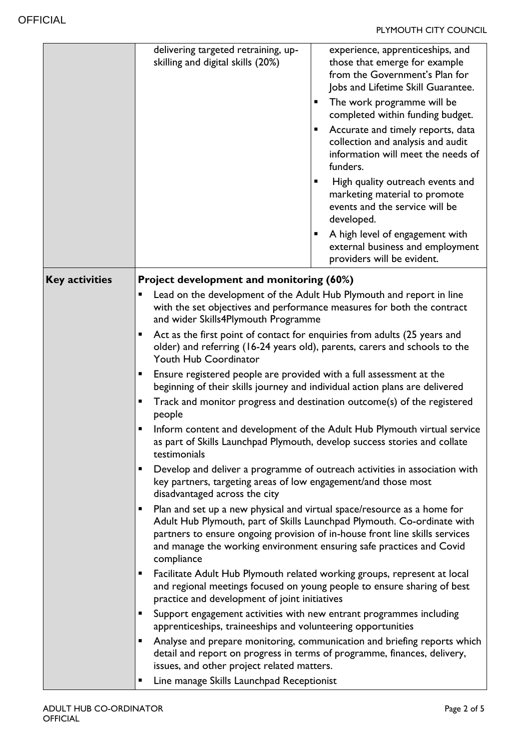|                       | delivering targeted retraining, up-<br>experience, apprenticeships, and<br>skilling and digital skills (20%)<br>those that emerge for example<br>from the Government's Plan for<br>Jobs and Lifetime Skill Guarantee.<br>The work programme will be<br>п<br>completed within funding budget.<br>Accurate and timely reports, data<br>п<br>collection and analysis and audit<br>information will meet the needs of<br>funders.<br>High quality outreach events and<br>п<br>marketing material to promote<br>events and the service will be<br>developed.<br>A high level of engagement with<br>п |
|-----------------------|-------------------------------------------------------------------------------------------------------------------------------------------------------------------------------------------------------------------------------------------------------------------------------------------------------------------------------------------------------------------------------------------------------------------------------------------------------------------------------------------------------------------------------------------------------------------------------------------------|
|                       | external business and employment<br>providers will be evident.                                                                                                                                                                                                                                                                                                                                                                                                                                                                                                                                  |
| <b>Key activities</b> | Project development and monitoring (60%)                                                                                                                                                                                                                                                                                                                                                                                                                                                                                                                                                        |
|                       | Lead on the development of the Adult Hub Plymouth and report in line<br>п<br>with the set objectives and performance measures for both the contract<br>and wider Skills4Plymouth Programme                                                                                                                                                                                                                                                                                                                                                                                                      |
|                       | Act as the first point of contact for enquiries from adults (25 years and<br>$\blacksquare$<br>older) and referring (16-24 years old), parents, carers and schools to the<br>Youth Hub Coordinator                                                                                                                                                                                                                                                                                                                                                                                              |
|                       | Ensure registered people are provided with a full assessment at the<br>п<br>beginning of their skills journey and individual action plans are delivered                                                                                                                                                                                                                                                                                                                                                                                                                                         |
|                       | Track and monitor progress and destination outcome(s) of the registered<br>п<br>people                                                                                                                                                                                                                                                                                                                                                                                                                                                                                                          |
|                       | Inform content and development of the Adult Hub Plymouth virtual service<br>п<br>as part of Skills Launchpad Plymouth, develop success stories and collate<br>testimonials                                                                                                                                                                                                                                                                                                                                                                                                                      |
|                       | Develop and deliver a programme of outreach activities in association with<br>٠<br>key partners, targeting areas of low engagement/and those most<br>disadvantaged across the city                                                                                                                                                                                                                                                                                                                                                                                                              |
|                       | Plan and set up a new physical and virtual space/resource as a home for<br>٠<br>Adult Hub Plymouth, part of Skills Launchpad Plymouth. Co-ordinate with<br>partners to ensure ongoing provision of in-house front line skills services<br>and manage the working environment ensuring safe practices and Covid<br>compliance                                                                                                                                                                                                                                                                    |
|                       | Facilitate Adult Hub Plymouth related working groups, represent at local<br>п<br>and regional meetings focused on young people to ensure sharing of best<br>practice and development of joint initiatives                                                                                                                                                                                                                                                                                                                                                                                       |
|                       | Support engagement activities with new entrant programmes including<br>$\blacksquare$<br>apprenticeships, traineeships and volunteering opportunities                                                                                                                                                                                                                                                                                                                                                                                                                                           |
|                       | Analyse and prepare monitoring, communication and briefing reports which<br>п<br>detail and report on progress in terms of programme, finances, delivery,<br>issues, and other project related matters.                                                                                                                                                                                                                                                                                                                                                                                         |
|                       | Line manage Skills Launchpad Receptionist<br>Ξ                                                                                                                                                                                                                                                                                                                                                                                                                                                                                                                                                  |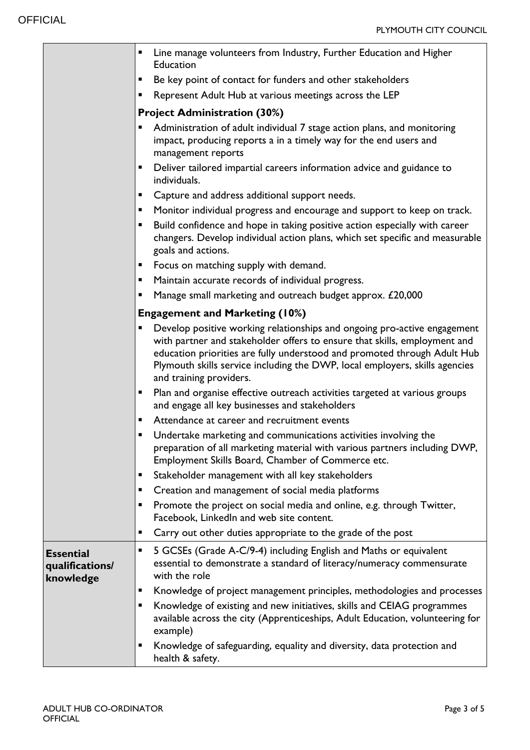|                                                  | Line manage volunteers from Industry, Further Education and Higher<br>$\blacksquare$<br>Education                                                                                                                                                                                                                                           |  |
|--------------------------------------------------|---------------------------------------------------------------------------------------------------------------------------------------------------------------------------------------------------------------------------------------------------------------------------------------------------------------------------------------------|--|
|                                                  | Be key point of contact for funders and other stakeholders<br>п                                                                                                                                                                                                                                                                             |  |
|                                                  | Represent Adult Hub at various meetings across the LEP<br>٠                                                                                                                                                                                                                                                                                 |  |
|                                                  | <b>Project Administration (30%)</b>                                                                                                                                                                                                                                                                                                         |  |
|                                                  | Administration of adult individual 7 stage action plans, and monitoring<br>impact, producing reports a in a timely way for the end users and<br>management reports                                                                                                                                                                          |  |
|                                                  | Deliver tailored impartial careers information advice and guidance to<br>individuals.                                                                                                                                                                                                                                                       |  |
|                                                  | Capture and address additional support needs.<br>٠                                                                                                                                                                                                                                                                                          |  |
|                                                  | Monitor individual progress and encourage and support to keep on track.<br>٠                                                                                                                                                                                                                                                                |  |
|                                                  | Build confidence and hope in taking positive action especially with career<br>п<br>changers. Develop individual action plans, which set specific and measurable<br>goals and actions.                                                                                                                                                       |  |
|                                                  | Focus on matching supply with demand.<br>п                                                                                                                                                                                                                                                                                                  |  |
|                                                  | Maintain accurate records of individual progress.<br>п                                                                                                                                                                                                                                                                                      |  |
|                                                  | Manage small marketing and outreach budget approx. £20,000                                                                                                                                                                                                                                                                                  |  |
|                                                  | <b>Engagement and Marketing (10%)</b>                                                                                                                                                                                                                                                                                                       |  |
|                                                  | Develop positive working relationships and ongoing pro-active engagement<br>with partner and stakeholder offers to ensure that skills, employment and<br>education priorities are fully understood and promoted through Adult Hub<br>Plymouth skills service including the DWP, local employers, skills agencies<br>and training providers. |  |
|                                                  | Plan and organise effective outreach activities targeted at various groups<br>п<br>and engage all key businesses and stakeholders                                                                                                                                                                                                           |  |
|                                                  | Attendance at career and recruitment events<br>п                                                                                                                                                                                                                                                                                            |  |
|                                                  | Undertake marketing and communications activities involving the<br>п<br>preparation of all marketing material with various partners including DWP,<br>Employment Skills Board, Chamber of Commerce etc.                                                                                                                                     |  |
|                                                  | Stakeholder management with all key stakeholders<br>٠                                                                                                                                                                                                                                                                                       |  |
|                                                  | Creation and management of social media platforms<br>٠                                                                                                                                                                                                                                                                                      |  |
|                                                  | Promote the project on social media and online, e.g. through Twitter,<br>٠<br>Facebook, Linkedln and web site content.                                                                                                                                                                                                                      |  |
|                                                  | Carry out other duties appropriate to the grade of the post<br>٠                                                                                                                                                                                                                                                                            |  |
| <b>Essential</b><br>qualifications/<br>knowledge | 5 GCSEs (Grade A-C/9-4) including English and Maths or equivalent<br>п<br>essential to demonstrate a standard of literacy/numeracy commensurate<br>with the role                                                                                                                                                                            |  |
|                                                  | Knowledge of project management principles, methodologies and processes<br>п                                                                                                                                                                                                                                                                |  |
|                                                  | Knowledge of existing and new initiatives, skills and CEIAG programmes<br>п<br>available across the city (Apprenticeships, Adult Education, volunteering for<br>example)                                                                                                                                                                    |  |
|                                                  | Knowledge of safeguarding, equality and diversity, data protection and<br>٠<br>health & safety.                                                                                                                                                                                                                                             |  |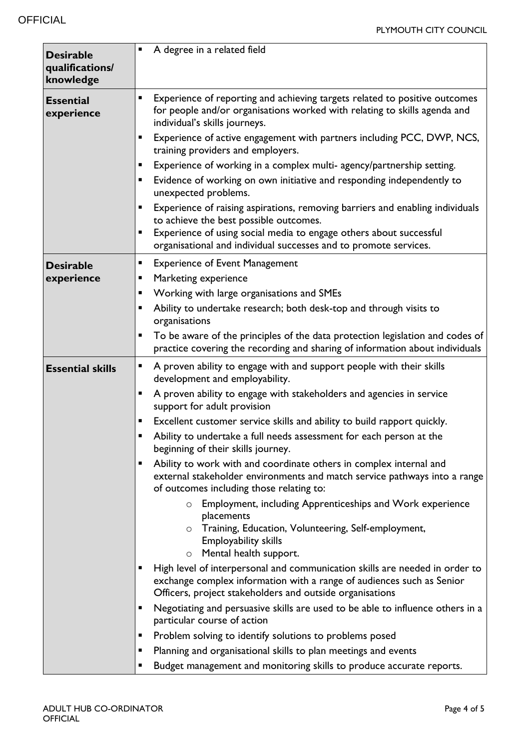| <b>Desirable</b>               | A degree in a related field<br>$\blacksquare$                                                                                                                                                                    |
|--------------------------------|------------------------------------------------------------------------------------------------------------------------------------------------------------------------------------------------------------------|
| qualifications/                |                                                                                                                                                                                                                  |
| knowledge                      |                                                                                                                                                                                                                  |
| <b>Essential</b><br>experience | Experience of reporting and achieving targets related to positive outcomes<br>п<br>for people and/or organisations worked with relating to skills agenda and<br>individual's skills journeys.                    |
|                                | Experience of active engagement with partners including PCC, DWP, NCS,<br>п<br>training providers and employers.                                                                                                 |
|                                | Experience of working in a complex multi-agency/partnership setting.                                                                                                                                             |
|                                | Evidence of working on own initiative and responding independently to<br>unexpected problems.                                                                                                                    |
|                                | Experience of raising aspirations, removing barriers and enabling individuals<br>п<br>to achieve the best possible outcomes.                                                                                     |
|                                | Experience of using social media to engage others about successful<br>п<br>organisational and individual successes and to promote services.                                                                      |
| <b>Desirable</b>               | <b>Experience of Event Management</b><br>п                                                                                                                                                                       |
| experience                     | Marketing experience<br>п                                                                                                                                                                                        |
|                                | Working with large organisations and SMEs<br>п                                                                                                                                                                   |
|                                | Ability to undertake research; both desk-top and through visits to<br>п<br>organisations                                                                                                                         |
|                                | To be aware of the principles of the data protection legislation and codes of<br>п<br>practice covering the recording and sharing of information about individuals                                               |
| <b>Essential skills</b>        | A proven ability to engage with and support people with their skills<br>п<br>development and employability.                                                                                                      |
|                                | A proven ability to engage with stakeholders and agencies in service<br>٠<br>support for adult provision                                                                                                         |
|                                | Excellent customer service skills and ability to build rapport quickly.<br>п                                                                                                                                     |
|                                | Ability to undertake a full needs assessment for each person at the<br>п<br>beginning of their skills journey.                                                                                                   |
|                                | Ability to work with and coordinate others in complex internal and<br>п<br>external stakeholder environments and match service pathways into a range<br>of outcomes including those relating to:                 |
|                                | Employment, including Apprenticeships and Work experience<br>$\circ$<br>placements<br>o Training, Education, Volunteering, Self-employment,<br><b>Employability skills</b><br>Mental health support.<br>$\circ$  |
|                                | High level of interpersonal and communication skills are needed in order to<br>exchange complex information with a range of audiences such as Senior<br>Officers, project stakeholders and outside organisations |
|                                | Negotiating and persuasive skills are used to be able to influence others in a<br>п<br>particular course of action                                                                                               |
|                                | Problem solving to identify solutions to problems posed<br>п                                                                                                                                                     |
|                                | Planning and organisational skills to plan meetings and events<br>п                                                                                                                                              |
|                                | Budget management and monitoring skills to produce accurate reports.                                                                                                                                             |